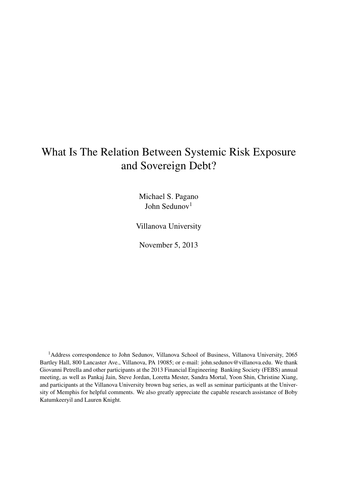## What Is The Relation Between Systemic Risk Exposure and Sovereign Debt?

Michael S. Pagano John Sedunov<sup>1</sup>

Villanova University

November 5, 2013

<sup>1</sup>Address correspondence to John Sedunov, Villanova School of Business, Villanova University, 2065 Bartley Hall, 800 Lancaster Ave., Villanova, PA 19085; or e-mail: john.sedunov@villanova.edu. We thank Giovanni Petrella and other participants at the 2013 Financial Engineering Banking Society (FEBS) annual meeting, as well as Pankaj Jain, Steve Jordan, Loretta Mester, Sandra Mortal, Yoon Shin, Christine Xiang, and participants at the Villanova University brown bag series, as well as seminar participants at the University of Memphis for helpful comments. We also greatly appreciate the capable research assistance of Boby Katumkeeryil and Lauren Knight.